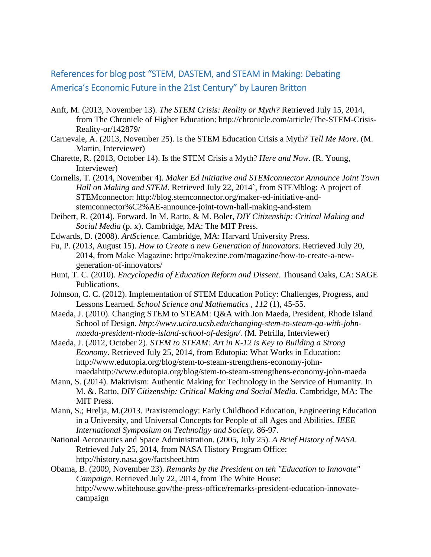## References for blog post "STEM, DASTEM, and STEAM in Making: Debating America's Economic Future in the 21st Century" by Lauren Britton

- Anft, M. (2013, November 13). *The STEM Crisis: Reality or Myth?* Retrieved July 15, 2014, from The Chronicle of Higher Education: http://chronicle.com/article/The-STEM-Crisis-Reality-or/142879/
- Carnevale, A. (2013, November 25). Is the STEM Education Crisis a Myth? *Tell Me More*. (M. Martin, Interviewer)
- Charette, R. (2013, October 14). Is the STEM Crisis a Myth? *Here and Now*. (R. Young, Interviewer)
- Cornelis, T. (2014, November 4). *Maker Ed Initiative and STEMconnector Announce Joint Town Hall on Making and STEM*. Retrieved July 22, 2014`, from STEMblog: A project of STEMconnector: http://blog.stemconnector.org/maker-ed-initiative-andstemconnector%C2%AE-announce-joint-town-hall-making-and-stem
- Deibert, R. (2014). Forward. In M. Ratto, & M. Boler, *DIY Citizenship: Critical Making and Social Media* (p. x). Cambridge, MA: The MIT Press.
- Edwards, D. (2008). *ArtScience.* Cambridge, MA: Harvard University Press.
- Fu, P. (2013, August 15). *How to Create a new Generation of Innovators*. Retrieved July 20, 2014, from Make Magazine: http://makezine.com/magazine/how-to-create-a-newgeneration-of-innovators/
- Hunt, T. C. (2010). *Encyclopedia of Education Reform and Dissent.* Thousand Oaks, CA: SAGE Publications.
- Johnson, C. C. (2012). Implementation of STEM Education Policy: Challenges, Progress, and Lessons Learned. *School Science and Mathematics , 112* (1), 45-55.
- Maeda, J. (2010). Changing STEM to STEAM: Q&A with Jon Maeda, President, Rhode Island School of Design. *http://www.ucira.ucsb.edu/changing-stem-to-steam-qa-with-johnmaeda-president-rhode-island-school-of-design/*. (M. Petrilla, Interviewer)
- Maeda, J. (2012, October 2). *STEM to STEAM: Art in K-12 is Key to Building a Strong Economy*. Retrieved July 25, 2014, from Edutopia: What Works in Education: http://www.edutopia.org/blog/stem-to-steam-strengthens-economy-johnmaedahttp://www.edutopia.org/blog/stem-to-steam-strengthens-economy-john-maeda
- Mann, S. (2014). Maktivism: Authentic Making for Technology in the Service of Humanity. In M. &. Ratto, *DIY Citizenship: Critical Making and Social Media.* Cambridge, MA: The MIT Press.
- Mann, S.; Hrelja, M.(2013. Praxistemology: Early Childhood Education, Engineering Education in a University, and Universal Concepts for People of all Ages and Abilities. *IEEE International Symposium on Technoligy and Society.* 86-97.
- National Aeronautics and Space Administration. (2005, July 25). *A Brief History of NASA*. Retrieved July 25, 2014, from NASA History Program Office: http://history.nasa.gov/factsheet.htm
- Obama, B. (2009, November 23). *Remarks by the President on teh "Education to Innovate" Campaign*. Retrieved July 22, 2014, from The White House: http://www.whitehouse.gov/the-press-office/remarks-president-education-innovatecampaign